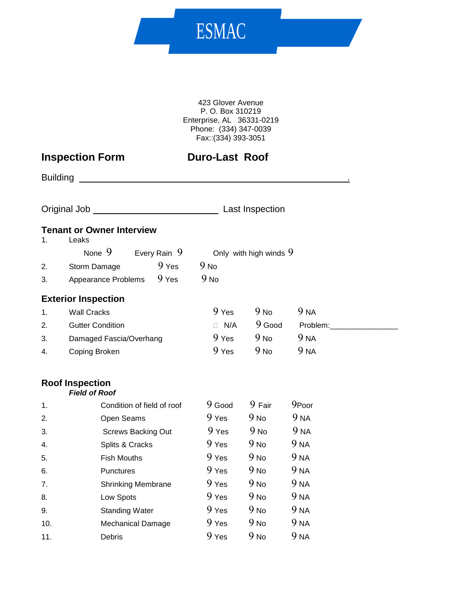423 Glover Avenue P. O. Box 310219 Enterprise, AL 36331-0219 Phone: (334) 347-0039 Fax::(334) 393-3051

ESMAC

# **Inspection Form Duro-Last Roof**

| <b>Building</b> | <u> 1980 - John Stein, Amerikaansk politiker (</u> |                  |                          |                                                                                                                                                                                                                                |  |
|-----------------|----------------------------------------------------|------------------|--------------------------|--------------------------------------------------------------------------------------------------------------------------------------------------------------------------------------------------------------------------------|--|
|                 |                                                    |                  | Last Inspection          |                                                                                                                                                                                                                                |  |
| 1.              | <b>Tenant or Owner Interview</b><br>Leaks          |                  |                          |                                                                                                                                                                                                                                |  |
|                 | None $9$<br>Every Rain 9                           |                  | Only with high winds $9$ |                                                                                                                                                                                                                                |  |
| 2.              | $9$ Yes<br>Storm Damage                            | 9 <sub>No</sub>  |                          |                                                                                                                                                                                                                                |  |
| 3.              | 9 Yes<br>Appearance Problems                       | $9$ No           |                          |                                                                                                                                                                                                                                |  |
|                 | <b>Exterior Inspection</b>                         |                  |                          |                                                                                                                                                                                                                                |  |
| 1.              | <b>Wall Cracks</b>                                 | 9 Yes            | 9N <sub>o</sub>          | 9 <sub>NA</sub>                                                                                                                                                                                                                |  |
| 2.              | <b>Gutter Condition</b>                            | $\Box$ N/A       | $9$ Good                 | Problem: The contract of the contract of the contract of the contract of the contract of the contract of the contract of the contract of the contract of the contract of the contract of the contract of the contract of the c |  |
| 3.              | Damaged Fascia/Overhang                            | 9 <sub>Yes</sub> | 9N <sub>o</sub>          | 9 <sub>NA</sub>                                                                                                                                                                                                                |  |
| 4.              | Coping Broken                                      | 9 Yes            | 9N <sub>o</sub>          | 9 <sub>NA</sub>                                                                                                                                                                                                                |  |
|                 | <b>Roof Inspection</b><br><b>Field of Roof</b>     |                  |                          |                                                                                                                                                                                                                                |  |
| 1.              | Condition of field of roof                         | $9$ Good         | 9 Fair                   | 9Poor                                                                                                                                                                                                                          |  |
| 2.              | Open Seams                                         | $9$ Yes          | 9N <sub>o</sub>          | 9 <sub>NA</sub>                                                                                                                                                                                                                |  |
| 3.              | <b>Screws Backing Out</b>                          | 9 <sub>Yes</sub> | 9N <sub>o</sub>          | 9 <sub>NA</sub>                                                                                                                                                                                                                |  |
| 4.              | Splits & Cracks                                    | 9 <sub>Yes</sub> | 9N <sub>o</sub>          | 9 <sub>NA</sub>                                                                                                                                                                                                                |  |
| 5.              | <b>Fish Mouths</b>                                 | 9 Yes            | 9N <sub>o</sub>          | 9 <sub>NA</sub>                                                                                                                                                                                                                |  |
| 6.              | Punctures                                          | 9 Yes            | 9 <sub>No</sub>          | 9 <sub>NA</sub>                                                                                                                                                                                                                |  |
| 7.              | <b>Shrinking Membrane</b>                          | 9 Yes            | 9N <sub>o</sub>          | 9 <sub>NA</sub>                                                                                                                                                                                                                |  |

8. Low Spots 9 Yes 9 No 9 NA 9. Standing Water 9 Yes 9 No 9 NA 10. Mechanical Damage 9 Yes 9 No 9 NA 11. Debris 9 Yes 9 No 9 NA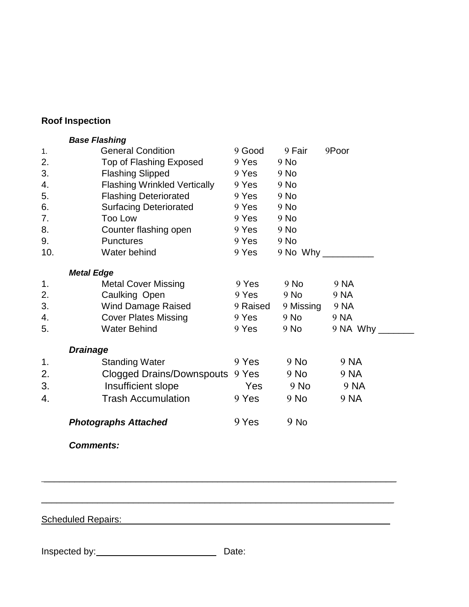# **Roof Inspection**

|     | <b>Base Flashing</b>                |          |                |                     |
|-----|-------------------------------------|----------|----------------|---------------------|
| 1.  | <b>General Condition</b>            | 9 Good   | 9 Fair         | 9Poor               |
| 2.  | Top of Flashing Exposed             | 9 Yes    | $9$ No         |                     |
| 3.  | <b>Flashing Slipped</b>             | $9$ Yes  | $9$ No         |                     |
| 4.  | <b>Flashing Wrinkled Vertically</b> | $9$ Yes  | 9 No           |                     |
| 5.  | <b>Flashing Deteriorated</b>        | $9$ Yes  | $9$ No         |                     |
| 6.  | <b>Surfacing Deteriorated</b>       | $9$ Yes  | $9$ No         |                     |
| 7.  | Too Low                             | 9 Yes    | $9$ No         |                     |
| 8.  | Counter flashing open               | 9 Yes    | $9$ No         |                     |
| 9.  | <b>Punctures</b>                    | $9$ Yes  | $9$ No         |                     |
| 10. | Water behind                        | $9$ Yes  |                | 9 No Why __________ |
|     | <b>Metal Edge</b>                   |          |                |                     |
| 1.  | <b>Metal Cover Missing</b>          | 9 Yes    | 9 No           | 9 NA                |
| 2.  | Caulking Open                       | 9 Yes    | $9$ No         | 9 NA                |
| 3.  | Wind Damage Raised                  | 9 Raised | 9 Missing 9 NA |                     |
| 4.  | <b>Cover Plates Missing</b>         | 9 Yes    | $9$ No         | 9 NA                |
| 5.  | <b>Water Behind</b>                 | 9 Yes    | $9$ No         | $9$ NA Why          |
|     | <b>Drainage</b>                     |          |                |                     |
| 1.  | <b>Standing Water</b>               | 9 Yes    | $9$ No         | 9 NA                |
| 2.  | Clogged Drains/Downspouts 9 Yes     |          | $9$ No         | 9 NA                |
| 3.  | Insufficient slope                  | Yes      | $9$ No         | 9 NA                |
| 4.  | <b>Trash Accumulation</b>           | 9 Yes    | $9$ No         | 9 NA                |
|     |                                     | 9 Yes    | $9$ No         |                     |
|     | <b>Photographs Attached</b>         |          |                |                     |

*Comments:*

Scheduled Repairs: \_\_\_\_\_\_\_\_\_\_\_\_\_\_\_\_\_\_\_\_\_\_\_\_\_\_\_\_\_\_\_\_\_\_\_\_\_\_\_\_\_\_\_\_\_\_\_\_\_\_\_\_

Inspected by: Date:

 $\_$  , and the set of the set of the set of the set of the set of the set of the set of the set of the set of the set of the set of the set of the set of the set of the set of the set of the set of the set of the set of th

 $\_$  ,  $\_$  ,  $\_$  ,  $\_$  ,  $\_$  ,  $\_$  ,  $\_$  ,  $\_$  ,  $\_$  ,  $\_$  ,  $\_$  ,  $\_$  ,  $\_$  ,  $\_$  ,  $\_$  ,  $\_$  ,  $\_$  ,  $\_$  ,  $\_$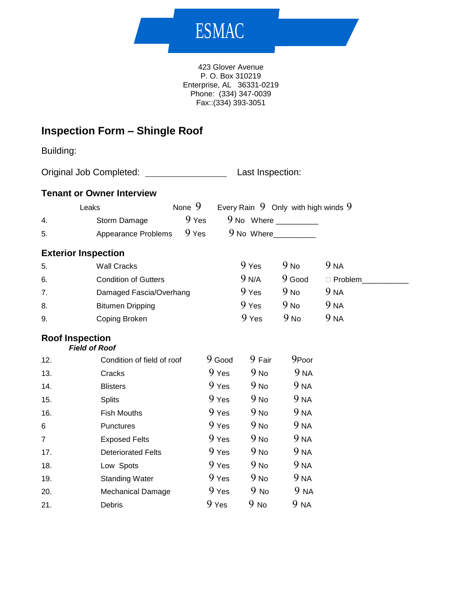# ESMAC

423 Glover Avenue P. O. Box 310219 Enterprise, AL 36331-0219 Phone: (334) 347-0039 Fax::(334) 393-3051

# **Inspection Form – Shingle Roof**

Building:

Original Job Completed: Last Inspection:

#### **Tenant or Owner Interview**

|    | Leaks                     | None 9 | Every Rain $9$ Only with high winds $9$ |
|----|---------------------------|--------|-----------------------------------------|
| 4. | Storm Damage              | 9 Yes  | 9 No Where                              |
| 5. | Appearance Problems 9 Yes |        | 9 No Where                              |

#### **Exterior Inspection**

| 5. | Wall Cracks                 | 9 Yes            | 9 <sub>No</sub> | 9 NA            |
|----|-----------------------------|------------------|-----------------|-----------------|
| 6. | <b>Condition of Gutters</b> | 9 N/A            | $9$ Good        | ∃ Problem.      |
| 7. | Damaged Fascia/Overhang     | 9 <sub>Yes</sub> | 9 <sub>No</sub> | 9 na            |
| 8. | <b>Bitumen Dripping</b>     | 9 <sub>Yes</sub> | 9 <sub>No</sub> | 9 <sub>NA</sub> |
| 9. | Coping Broken               | 9 Yes            | 9 No            | 9 NA            |

### **Roof Inspection**

*Field of Roof*

| 12.            | Condition of field of roof | 9 Good           | 9 Fair          | 9Poor           |
|----------------|----------------------------|------------------|-----------------|-----------------|
| 13.            | Cracks                     | 9 Yes            | 9 <sub>No</sub> | 9 NA            |
| 14.            | <b>Blisters</b>            | 9 <sub>Yes</sub> | 9 <sub>No</sub> | 9 <sub>NA</sub> |
| 15.            | <b>Splits</b>              | 9 <sub>Yes</sub> | 9 <sub>No</sub> | 9 <sub>NA</sub> |
| 16.            | <b>Fish Mouths</b>         | 9 <sub>Yes</sub> | 9 <sub>No</sub> | 9 <sub>NA</sub> |
| 6              | Punctures                  | 9 <sub>Yes</sub> | 9 <sub>No</sub> | 9 <sub>NA</sub> |
| $\overline{7}$ | <b>Exposed Felts</b>       | 9 <sub>Yes</sub> | 9 <sub>No</sub> | 9 <sub>NA</sub> |
| 17.            | <b>Deteriorated Felts</b>  | 9 <sub>Yes</sub> | 9 <sub>No</sub> | 9 <sub>NA</sub> |
| 18.            | Low Spots                  | 9 Yes            | 9 <sub>No</sub> | 9 <sub>NA</sub> |
| 19.            | <b>Standing Water</b>      | 9 <sub>Yes</sub> | 9 <sub>No</sub> | 9 <sub>NA</sub> |
| 20.            | <b>Mechanical Damage</b>   | 9 <sub>Yes</sub> | $9$ No          | 9 NA            |
| 21.            | Debris                     | 9 Yes            | $9$ No          | 9 NA            |